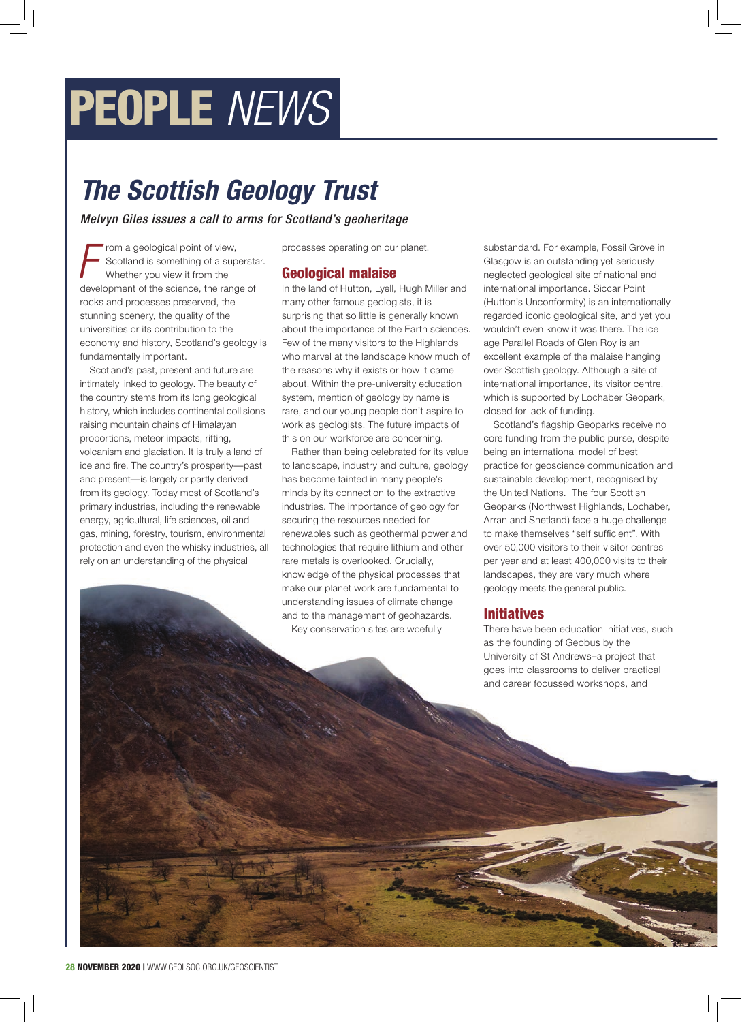# PEOPLE *NEWS*

## *The Scottish Geology Trust*

Melvyn Giles issues a call to arms for Scotland's geoheritage

**FR** rom a geological point of view,<br>
Scotland is something of a sup<br>
Whether you view it from the Scotland is something of a superstar. Whether you view it from the development of the science, the range of rocks and processes preserved, the stunning scenery, the quality of the universities or its contribution to the economy and history, Scotland's geology is fundamentally important.

Scotland's past, present and future are intimately linked to geology. The beauty of the country stems from its long geological history, which includes continental collisions raising mountain chains of Himalayan proportions, meteor impacts, rifting, volcanism and glaciation. It is truly a land of ice and fire. The country's prosperity—past and present—is largely or partly derived from its geology. Today most of Scotland's primary industries, including the renewable energy, agricultural, life sciences, oil and gas, mining, forestry, tourism, environmental protection and even the whisky industries, all rely on an understanding of the physical

processes operating on our planet.

### Geological malaise

In the land of Hutton, Lyell, Hugh Miller and many other famous geologists, it is surprising that so little is generally known about the importance of the Earth sciences. Few of the many visitors to the Highlands who marvel at the landscape know much of the reasons why it exists or how it came about. Within the pre-university education system, mention of geology by name is rare, and our young people don't aspire to work as geologists. The future impacts of this on our workforce are concerning.

Rather than being celebrated for its value to landscape, industry and culture, geology has become tainted in many people's minds by its connection to the extractive industries. The importance of geology for securing the resources needed for renewables such as geothermal power and technologies that require lithium and other rare metals is overlooked. Crucially, knowledge of the physical processes that make our planet work are fundamental to understanding issues of climate change and to the management of geohazards.

Key conservation sites are woefully

substandard. For example, Fossil Grove in Glasgow is an outstanding yet seriously neglected geological site of national and international importance. Siccar Point (Hutton's Unconformity) is an internationally regarded iconic geological site, and yet you wouldn't even know it was there. The ice age Parallel Roads of Glen Roy is an excellent example of the malaise hanging over Scottish geology. Although a site of international importance, its visitor centre, which is supported by Lochaber Geopark, closed for lack of funding.

Scotland's flagship Geoparks receive no core funding from the public purse, despite being an international model of best practice for geoscience communication and sustainable development, recognised by the United Nations. The four Scottish Geoparks (Northwest Highlands, Lochaber, Arran and Shetland) face a huge challenge to make themselves "self sufficient". With over 50,000 visitors to their visitor centres per year and at least 400,000 visits to their landscapes, they are very much where geology meets the general public.

### Initiatives

There have been education initiatives, such as the founding of Geobus by the University of St Andrews–a project that goes into classrooms to deliver practical and career focussed workshops, and